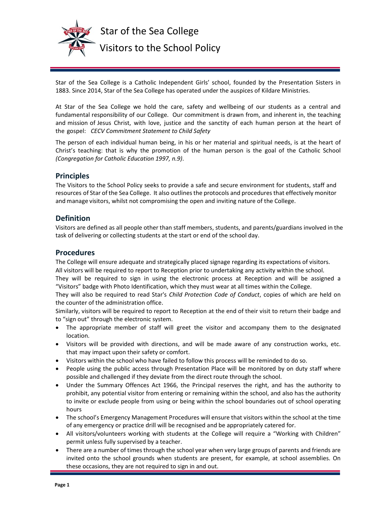

 Star of the Sea College Visitors to the School Policy

Star of the Sea College is a Catholic Independent Girls' school, founded by the Presentation Sisters in 1883. Since 2014, Star of the Sea College has operated under the auspices of Kildare Ministries.

At Star of the Sea College we hold the care, safety and wellbeing of our students as a central and fundamental responsibility of our College. Our commitment is drawn from, and inherent in, the teaching and mission of Jesus Christ, with love, justice and the sanctity of each human person at the heart of the gospel: *CECV Commitment Statement to Child Safety*

The person of each individual human being, in his or her material and spiritual needs, is at the heart of Christ's teaching: that is why the promotion of the human person is the goal of the Catholic School *(Congregation for Catholic Education 1997, n.9)*.

## **Principles**

The Visitors to the School Policy seeks to provide a safe and secure environment for students, staff and resources of Star of the Sea College. It also outlines the protocols and procedures that effectively monitor and manage visitors, whilst not compromising the open and inviting nature of the College.

## **Definition**

Visitors are defined as all people other than staff members, students, and parents/guardians involved in the task of delivering or collecting students at the start or end of the school day.

## **Procedures**

The College will ensure adequate and strategically placed signage regarding its expectations of visitors. All visitors will be required to report to Reception prior to undertaking any activity within the school.

They will be required to sign in using the electronic process at Reception and will be assigned a "Visitors" badge with Photo Identification, which they must wear at all times within the College.

They will also be required to read Star's *Child Protection Code of Conduct*, copies of which are held on the counter of the administration office.

Similarly, visitors will be required to report to Reception at the end of their visit to return their badge and to "sign out" through the electronic system.

- The appropriate member of staff will greet the visitor and accompany them to the designated location.
- Visitors will be provided with directions, and will be made aware of any construction works, etc. that may impact upon their safety or comfort.
- Visitors within the school who have failed to follow this process will be reminded to do so.
- People using the public access through Presentation Place will be monitored by on duty staff where possible and challenged if they deviate from the direct route through the school.
- Under the Summary Offences Act 1966, the Principal reserves the right, and has the authority to prohibit, any potential visitor from entering or remaining within the school, and also has the authority to invite or exclude people from using or being within the school boundaries out of school operating hours
- The school's Emergency Management Procedures will ensure that visitors within the school at the time of any emergency or practice drill will be recognised and be appropriately catered for.
- All visitors/volunteers working with students at the College will require a "Working with Children" permit unless fully supervised by a teacher.
- There are a number of times through the school year when very large groups of parents and friends are invited onto the school grounds when students are present, for example, at school assemblies. On these occasions, they are not required to sign in and out.